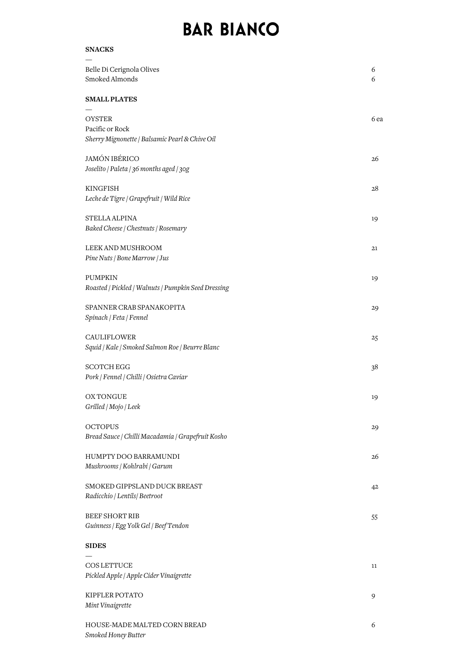## **BAR BIANCO**

| <b>SNACKS</b>                                                                      |        |
|------------------------------------------------------------------------------------|--------|
| Belle Di Cerignola Olives<br>Smoked Almonds                                        | 6<br>6 |
| <b>SMALL PLATES</b>                                                                |        |
| <b>OYSTER</b><br>Pacific or Rock<br>Sherry Mignonette   Balsamic Pearl & Chive Oil | 6 ea   |
| <b>JAMÓN IBÉRICO</b><br>Joselito / Paleta / 36 months aged / 30g                   | 26     |
| KINGFISH<br>Leche de Tigre / Grapefruit / Wild Rice                                | 28     |
| STELLA ALPINA<br>Baked Cheese   Chestnuts   Rosemary                               | 19     |
| LEEK AND MUSHROOM<br>Pine Nuts   Bone Marrow   Jus                                 | 21     |
| <b>PUMPKIN</b><br>Roasted   Pickled   Walnuts   Pumpkin Seed Dressing              | 19     |
| SPANNER CRAB SPANAKOPITA<br>Spinach   Feta   Fennel                                | 29     |
| <b>CAULIFLOWER</b><br>Squid   Kale   Smoked Salmon Roe   Beurre Blanc              | 25     |
| <b>SCOTCH EGG</b><br>Pork   Fennel   Chilli   Osietra Caviar                       | 38     |
| <b>OXTONGUE</b><br>Grilled   Mojo   Leek                                           | 19     |
| <b>OCTOPUS</b><br>Bread Sauce / Chilli Macadamia / Grapefruit Kosho                | 29     |
| HUMPTY DOO BARRAMUNDI<br>Mushrooms   Kohlrabi   Garum                              | 26     |
| SMOKED GIPPSLAND DUCK BREAST<br>Radicchio / Lentils/ Beetroot                      | 42     |
| <b>BEEF SHORT RIB</b><br>Guinness / Egg Yolk Gel / Beef Tendon                     | 55     |
| <b>SIDES</b>                                                                       |        |
| <b>COS LETTUCE</b><br>Pickled Apple   Apple Cider Vinaigrette                      | 11     |
| KIPFLER POTATO<br>Mint Vinaigrette                                                 | 9      |
| HOUSE-MADE MALTED CORN BREAD                                                       | 6      |

*Smoked Honey Butter*